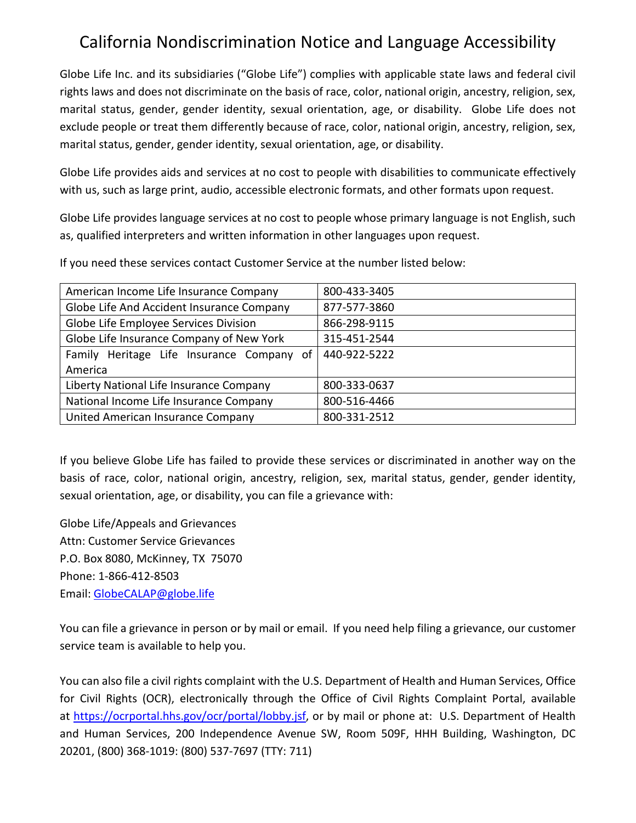## California Nondiscrimination Notice and Language Accessibility

Globe Life Inc. and its subsidiaries ("Globe Life") complies with applicable state laws and federal civil rights laws and does not discriminate on the basis of race, color, national origin, ancestry, religion, sex, marital status, gender, gender identity, sexual orientation, age, or disability. Globe Life does not exclude people or treat them differently because of race, color, national origin, ancestry, religion, sex, marital status, gender, gender identity, sexual orientation, age, or disability.

Globe Life provides aids and services at no cost to people with disabilities to communicate effectively with us, such as large print, audio, accessible electronic formats, and other formats upon request.

Globe Life provides language services at no cost to people whose primary language is not English, such as, qualified interpreters and written information in other languages upon request.

If you need these services contact Customer Service at the number listed below:

| American Income Life Insurance Company    | 800-433-3405 |
|-------------------------------------------|--------------|
| Globe Life And Accident Insurance Company | 877-577-3860 |
| Globe Life Employee Services Division     | 866-298-9115 |
| Globe Life Insurance Company of New York  | 315-451-2544 |
| Family Heritage Life Insurance Company of | 440-922-5222 |
| America                                   |              |
| Liberty National Life Insurance Company   | 800-333-0637 |
| National Income Life Insurance Company    | 800-516-4466 |
| United American Insurance Company         | 800-331-2512 |

If you believe Globe Life has failed to provide these services or discriminated in another way on the basis of race, color, national origin, ancestry, religion, sex, marital status, gender, gender identity, sexual orientation, age, or disability, you can file a grievance with:

Globe Life/Appeals and Grievances Attn: Customer Service Grievances P.O. Box 8080, McKinney, TX 75070 Phone: 1-866-412-8503 Email: [GlobeCALAP@globe.life](mailto:GlobeCALAP@globe.life)

You can file a grievance in person or by mail or email. If you need help filing a grievance, our customer service team is available to help you.

You can also file a civil rights complaint with the U.S. Department of Health and Human Services, Office for Civil Rights (OCR), electronically through the Office of Civil Rights Complaint Portal, available at [https://ocrportal.hhs.gov/ocr/portal/lobby.jsf,](https://ocrportal.hhs.gov/ocr/portal/lobby.jsf) or by mail or phone at: U.S. Department of Health and Human Services, 200 Independence Avenue SW, Room 509F, HHH Building, Washington, DC 20201, (800) 368-1019: (800) 537-7697 (TTY: 711)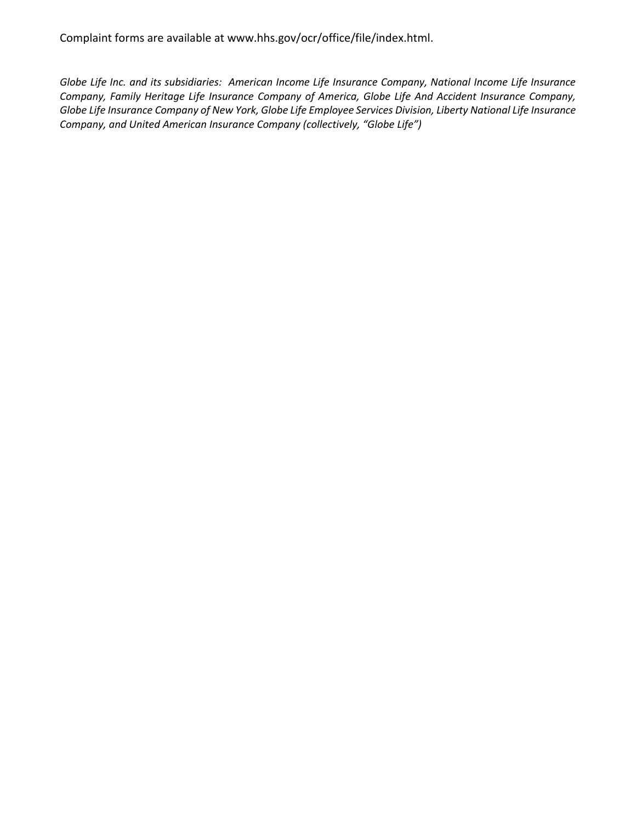Complaint forms are available at www.hhs.gov/ocr/office/file/index.html.

*Globe Life Inc. and its subsidiaries: American Income Life Insurance Company, National Income Life Insurance Company, Family Heritage Life Insurance Company of America, Globe Life And Accident Insurance Company, Globe Life Insurance Company of New York, Globe Life Employee Services Division, Liberty National Life Insurance Company, and United American Insurance Company (collectively, "Globe Life")*